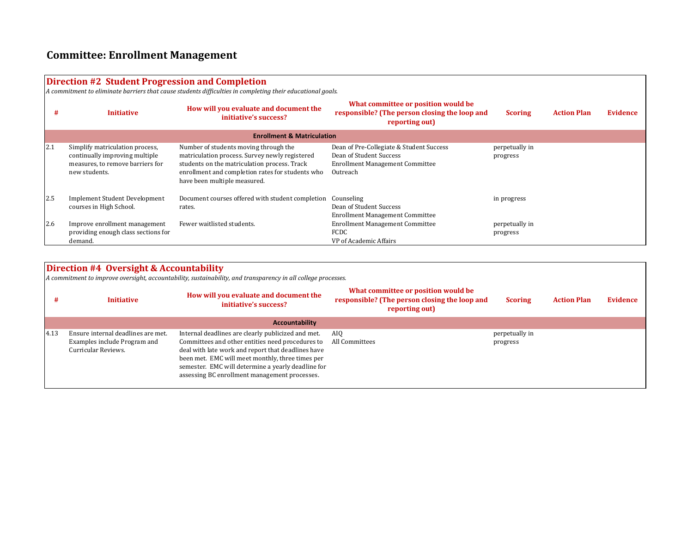## **Committee: Enrollment Management**

## **Direction #2 Student Progression and Completion**

*A commitment to eliminate barriers that cause students difficulties in completing their educational goals.*

| #          | <b>Initiative</b>                                                                                                      | How will you evaluate and document the<br>initiative's success?                                                                                                                                                             | What committee or position would be<br>responsible? (The person closing the loop and<br>reporting out)                    | <b>Scoring</b>             | <b>Action Plan</b> | <b>Evidence</b> |
|------------|------------------------------------------------------------------------------------------------------------------------|-----------------------------------------------------------------------------------------------------------------------------------------------------------------------------------------------------------------------------|---------------------------------------------------------------------------------------------------------------------------|----------------------------|--------------------|-----------------|
|            | <b>Enrollment &amp; Matriculation</b>                                                                                  |                                                                                                                                                                                                                             |                                                                                                                           |                            |                    |                 |
| 2.1        | Simplify matriculation process,<br>continually improving multiple<br>measures, to remove barriers for<br>new students. | Number of students moving through the<br>matriculation process. Survey newly registered<br>students on the matriculation process. Track<br>enrollment and completion rates for students who<br>have been multiple measured. | Dean of Pre-Collegiate & Student Success<br>Dean of Student Success<br><b>Enrollment Management Committee</b><br>Outreach | perpetually in<br>progress |                    |                 |
| <b>2.5</b> | <b>Implement Student Development</b><br>courses in High School.                                                        | Document courses offered with student completion<br>rates.                                                                                                                                                                  | Counseling<br>Dean of Student Success<br><b>Enrollment Management Committee</b>                                           | in progress                |                    |                 |
| 2.6        | Improve enrollment management<br>providing enough class sections for<br>demand.                                        | Fewer waitlisted students.                                                                                                                                                                                                  | <b>Enrollment Management Committee</b><br>FCDC<br>VP of Academic Affairs                                                  | perpetually in<br>progress |                    |                 |

## **Direction #4 Oversight & Accountability**

*A commitment to improve oversight, accountability, sustainability, and transparency in all college processes.*

|      | <b>Initiative</b>                                                                         | How will you evaluate and document the<br>initiative's success?                                                                                                                                                                                                                                                         | What committee or position would be<br>responsible? (The person closing the loop and<br>reporting out) | <b>Scoring</b>             | <b>Action Plan</b> | Evidence |
|------|-------------------------------------------------------------------------------------------|-------------------------------------------------------------------------------------------------------------------------------------------------------------------------------------------------------------------------------------------------------------------------------------------------------------------------|--------------------------------------------------------------------------------------------------------|----------------------------|--------------------|----------|
|      |                                                                                           | <b>Accountability</b>                                                                                                                                                                                                                                                                                                   |                                                                                                        |                            |                    |          |
| 4.13 | Ensure internal deadlines are met.<br>Examples include Program and<br>Curricular Reviews. | Internal deadlines are clearly publicized and met.<br>Committees and other entities need procedures to<br>deal with late work and report that deadlines have<br>been met. EMC will meet monthly, three times per<br>semester. EMC will determine a yearly deadline for<br>assessing BC enrollment management processes. | AIO<br>All Committees                                                                                  | perpetually in<br>progress |                    |          |